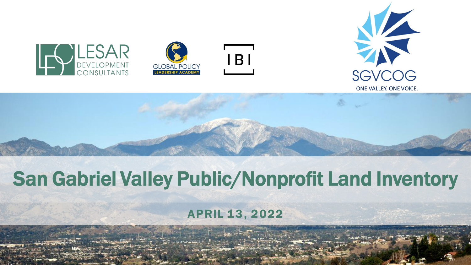









# San Gabriel Valley Public/Nonprofit Land Inventory

**APRIL 13, 2022**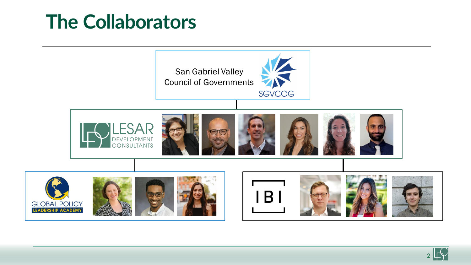## **The Collaborators**



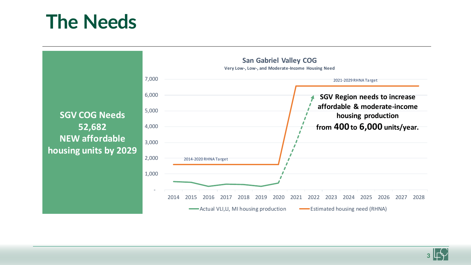## **The Needs**



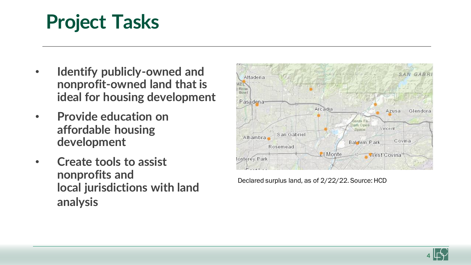# **Project Tasks**

- **Identify publicly-owned and nonprofit-owned land that is ideal for housing development**
- **Provide education on affordable housing development**
- **Create tools to assist nonprofits and local jurisdictions with land analysis**



Declared surplus land, as of 2/22/22. Source: HCD

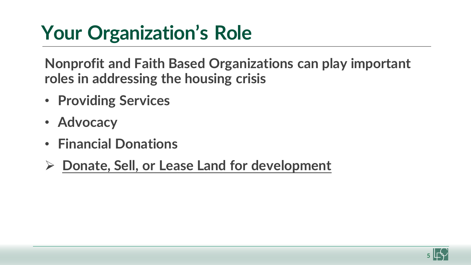# **Your Organization's Role**

**Nonprofit and Faith Based Organizations can play important roles in addressing the housing crisis**

- **Providing Services**
- **Advocacy**
- **Financial Donations**
- ➢ **Donate, Sell, or Lease Land for development**

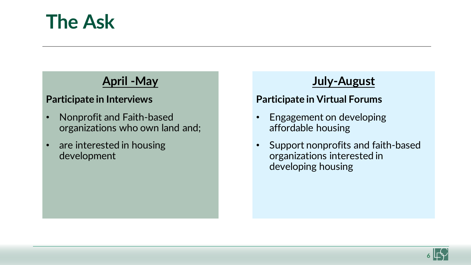## **The Ask**

## **April -May**

### **Participate in Interviews**

- Nonprofit and Faith-based organizations who own land and;
- are interested in housing development

## **July-August**

## **Participate in Virtual Forums**

- Engagement on developing affordable housing
- Support nonprofits and faith-based organizations interested in developing housing

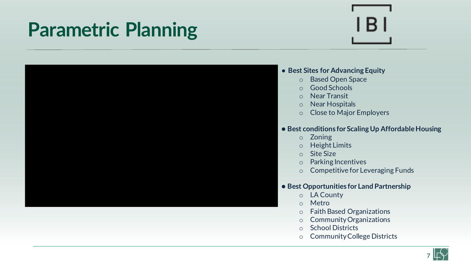# **Parametric Planning**



#### ● **Best Sites for Advancing Equity**

- o Based Open Space
- o Good Schools
- o Near Transit
- o Near Hospitals
- o Close to Major Employers

#### ● **Best conditions for Scaling Up Affordable Housing**

- o Zoning
- o Height Limits
- o Site Size
- o Parking Incentives
- o Competitive for Leveraging Funds

#### ● **Best Opportunities for Land Partnership**

- o LA County
- o Metro
- o Faith Based Organizations
- o Community Organizations
- o School Districts
- o Community College Districts